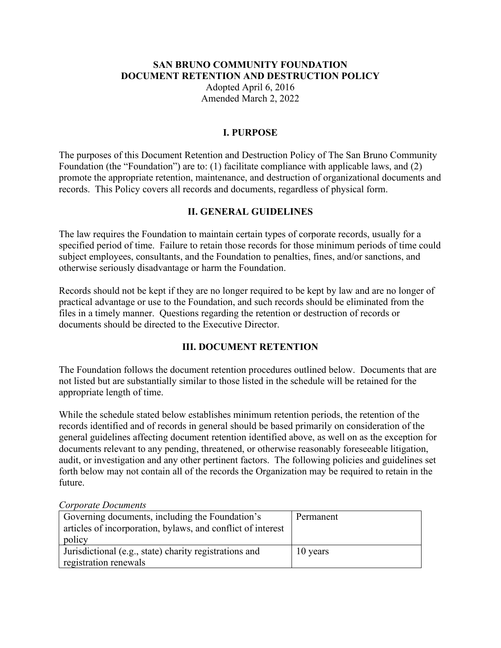#### **SAN BRUNO COMMUNITY FOUNDATION DOCUMENT RETENTION AND DESTRUCTION POLICY**

Adopted April 6, 2016 Amended March 2, 2022

### **I. PURPOSE**

The purposes of this Document Retention and Destruction Policy of The San Bruno Community Foundation (the "Foundation") are to: (1) facilitate compliance with applicable laws, and (2) promote the appropriate retention, maintenance, and destruction of organizational documents and records. This Policy covers all records and documents, regardless of physical form.

## **II. GENERAL GUIDELINES**

The law requires the Foundation to maintain certain types of corporate records, usually for a specified period of time. Failure to retain those records for those minimum periods of time could subject employees, consultants, and the Foundation to penalties, fines, and/or sanctions, and otherwise seriously disadvantage or harm the Foundation.

Records should not be kept if they are no longer required to be kept by law and are no longer of practical advantage or use to the Foundation, and such records should be eliminated from the files in a timely manner. Questions regarding the retention or destruction of records or documents should be directed to the Executive Director.

## **III. DOCUMENT RETENTION**

The Foundation follows the document retention procedures outlined below. Documents that are not listed but are substantially similar to those listed in the schedule will be retained for the appropriate length of time.

While the schedule stated below establishes minimum retention periods, the retention of the records identified and of records in general should be based primarily on consideration of the general guidelines affecting document retention identified above, as well on as the exception for documents relevant to any pending, threatened, or otherwise reasonably foreseeable litigation, audit, or investigation and any other pertinent factors. The following policies and guidelines set forth below may not contain all of the records the Organization may be required to retain in the future.

#### *Corporate Documents*

| Governing documents, including the Foundation's<br>articles of incorporation, bylaws, and conflict of interest<br>policy | Permanent |
|--------------------------------------------------------------------------------------------------------------------------|-----------|
| Jurisdictional (e.g., state) charity registrations and<br>registration renewals                                          | 10 years  |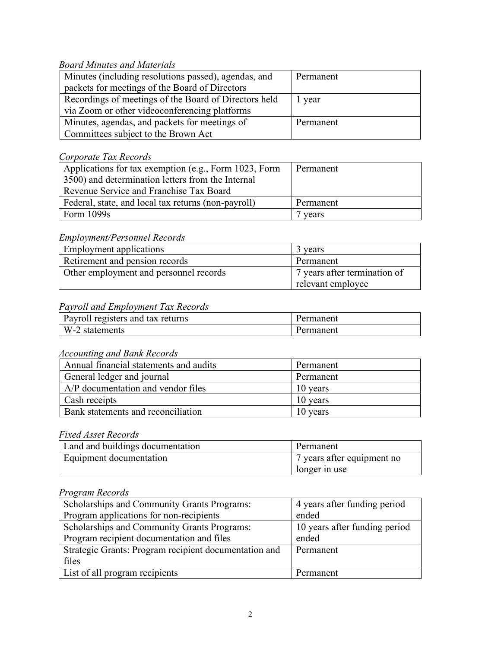## *Board Minutes and Materials*

| Minutes (including resolutions passed), agendas, and  | Permanent |
|-------------------------------------------------------|-----------|
| packets for meetings of the Board of Directors        |           |
| Recordings of meetings of the Board of Directors held | 1 year    |
| via Zoom or other videoconferencing platforms         |           |
| Minutes, agendas, and packets for meetings of         | Permanent |
| Committees subject to the Brown Act                   |           |

## *Corporate Tax Records*

| Applications for tax exemption (e.g., Form 1023, Form                                        | Permanent |
|----------------------------------------------------------------------------------------------|-----------|
| 3500) and determination letters from the Internal<br>Revenue Service and Franchise Tax Board |           |
| Federal, state, and local tax returns (non-payroll)                                          | Permanent |
| Form $1099s$                                                                                 | vears     |

#### *Employment/Personnel Records*

| Employment applications                | 3 years                                           |
|----------------------------------------|---------------------------------------------------|
| Retirement and pension records         | Permanent                                         |
| Other employment and personnel records | 7 years after termination of<br>relevant employee |

# *Payroll and Employment Tax Records*

| Payroll registers and tax returns | Permanent |
|-----------------------------------|-----------|
| W-2 statements                    | Permanent |

### *Accounting and Bank Records*

| Annual financial statements and audits | Permanent |
|----------------------------------------|-----------|
| General ledger and journal             | Permanent |
| A/P documentation and vendor files     | 10 years  |
| Cash receipts                          | 10 years  |
| Bank statements and reconciliation     | 10 years  |

## *Fixed Asset Records*

| Land and buildings documentation | Permanent                  |
|----------------------------------|----------------------------|
| Equipment documentation          | 7 years after equipment no |
|                                  | longer in use              |

# *Program Records*

| Scholarships and Community Grants Programs:           | 4 years after funding period  |
|-------------------------------------------------------|-------------------------------|
| Program applications for non-recipients               | ended                         |
| Scholarships and Community Grants Programs:           | 10 years after funding period |
| Program recipient documentation and files             | ended                         |
| Strategic Grants: Program recipient documentation and | Permanent                     |
| files                                                 |                               |
| List of all program recipients                        | Permanent                     |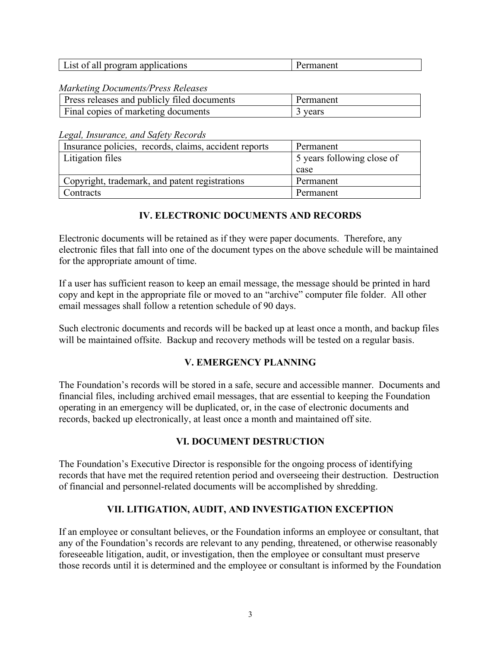| $\rightarrow \rightarrow +$<br>applications<br>0Ī<br>program<br>all<br>List | панси. |
|-----------------------------------------------------------------------------|--------|
|-----------------------------------------------------------------------------|--------|

*Marketing Documents/Press Releases*

| Press releases and publicly filed documents | Permanent |
|---------------------------------------------|-----------|
| Final copies of marketing documents         | vears     |

*Legal, Insurance, and Safety Records*

| Insurance policies, records, claims, accident reports | Permanent                  |
|-------------------------------------------------------|----------------------------|
| Litigation files                                      | 5 years following close of |
|                                                       | case                       |
| Copyright, trademark, and patent registrations        | Permanent                  |
| Contracts                                             | Permanent                  |

## **IV. ELECTRONIC DOCUMENTS AND RECORDS**

Electronic documents will be retained as if they were paper documents. Therefore, any electronic files that fall into one of the document types on the above schedule will be maintained for the appropriate amount of time.

If a user has sufficient reason to keep an email message, the message should be printed in hard copy and kept in the appropriate file or moved to an "archive" computer file folder. All other email messages shall follow a retention schedule of 90 days.

Such electronic documents and records will be backed up at least once a month, and backup files will be maintained offsite. Backup and recovery methods will be tested on a regular basis.

## **V. EMERGENCY PLANNING**

The Foundation's records will be stored in a safe, secure and accessible manner. Documents and financial files, including archived email messages, that are essential to keeping the Foundation operating in an emergency will be duplicated, or, in the case of electronic documents and records, backed up electronically, at least once a month and maintained off site.

## **VI. DOCUMENT DESTRUCTION**

The Foundation's Executive Director is responsible for the ongoing process of identifying records that have met the required retention period and overseeing their destruction. Destruction of financial and personnel-related documents will be accomplished by shredding.

## **VII. LITIGATION, AUDIT, AND INVESTIGATION EXCEPTION**

If an employee or consultant believes, or the Foundation informs an employee or consultant, that any of the Foundation's records are relevant to any pending, threatened, or otherwise reasonably foreseeable litigation, audit, or investigation, then the employee or consultant must preserve those records until it is determined and the employee or consultant is informed by the Foundation